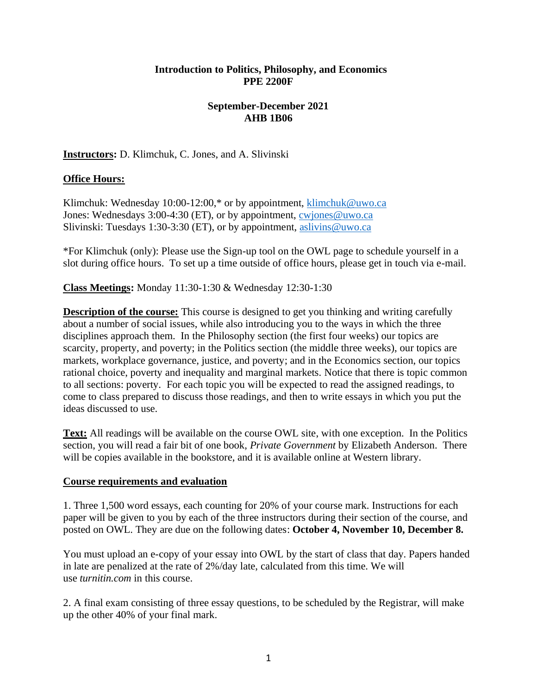## **Introduction to Politics, Philosophy, and Economics PPE 2200F**

## **September-December 2021 AHB 1B06**

**Instructors:** D. Klimchuk, C. Jones, and A. Slivinski

## **Office Hours:**

Klimchuk: Wednesday 10:00-12:00,\* or by appointment, [klimchuk@uwo.ca](mailto:klimchuk@uwo.ca) Jones: Wednesdays 3:00-4:30 (ET), or by appointment, [cwjones@uwo.ca](mailto:cwjones@uwo.ca) Slivinski: Tuesdays 1:30-3:30 (ET), or by appointment, [aslivins@uwo.ca](mailto:aslivins@uwo.ca)

\*For Klimchuk (only): Please use the Sign-up tool on the OWL page to schedule yourself in a slot during office hours. To set up a time outside of office hours, please get in touch via e-mail.

**Class Meetings:** Monday 11:30-1:30 & Wednesday 12:30-1:30

**Description of the course:** This course is designed to get you thinking and writing carefully about a number of social issues, while also introducing you to the ways in which the three disciplines approach them. In the Philosophy section (the first four weeks) our topics are scarcity, property, and poverty; in the Politics section (the middle three weeks), our topics are markets, workplace governance, justice, and poverty; and in the Economics section, our topics rational choice, poverty and inequality and marginal markets. Notice that there is topic common to all sections: poverty. For each topic you will be expected to read the assigned readings, to come to class prepared to discuss those readings, and then to write essays in which you put the ideas discussed to use.

**Text:** All readings will be available on the course OWL site, with one exception. In the Politics section, you will read a fair bit of one book, *Private Government* by Elizabeth Anderson. There will be copies available in the bookstore, and it is available online at Western library.

#### **Course requirements and evaluation**

1. Three 1,500 word essays, each counting for 20% of your course mark. Instructions for each paper will be given to you by each of the three instructors during their section of the course, and posted on OWL. They are due on the following dates: **October 4, November 10, December 8.**

You must upload an e-copy of your essay into OWL by the start of class that day. Papers handed in late are penalized at the rate of 2%/day late, calculated from this time. We will use *turnitin.com* in this course.

2. A final exam consisting of three essay questions, to be scheduled by the Registrar, will make up the other 40% of your final mark.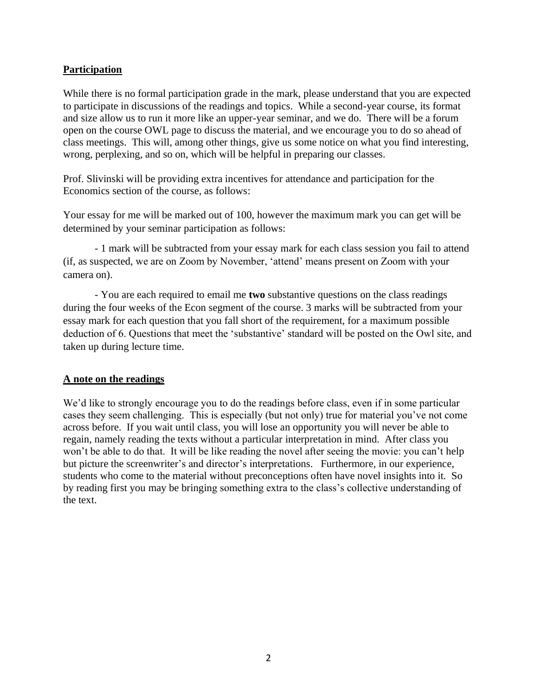## **Participation**

While there is no formal participation grade in the mark, please understand that you are expected to participate in discussions of the readings and topics. While a second-year course, its format and size allow us to run it more like an upper-year seminar, and we do. There will be a forum open on the course OWL page to discuss the material, and we encourage you to do so ahead of class meetings. This will, among other things, give us some notice on what you find interesting, wrong, perplexing, and so on, which will be helpful in preparing our classes.

Prof. Slivinski will be providing extra incentives for attendance and participation for the Economics section of the course, as follows:

Your essay for me will be marked out of 100, however the maximum mark you can get will be determined by your seminar participation as follows:

- 1 mark will be subtracted from your essay mark for each class session you fail to attend (if, as suspected, we are on Zoom by November, 'attend' means present on Zoom with your camera on).

- You are each required to email me **two** substantive questions on the class readings during the four weeks of the Econ segment of the course. 3 marks will be subtracted from your essay mark for each question that you fall short of the requirement, for a maximum possible deduction of 6. Questions that meet the 'substantive' standard will be posted on the Owl site, and taken up during lecture time.

#### **A note on the readings**

We'd like to strongly encourage you to do the readings before class, even if in some particular cases they seem challenging. This is especially (but not only) true for material you've not come across before. If you wait until class, you will lose an opportunity you will never be able to regain, namely reading the texts without a particular interpretation in mind. After class you won't be able to do that. It will be like reading the novel after seeing the movie: you can't help but picture the screenwriter's and director's interpretations. Furthermore, in our experience, students who come to the material without preconceptions often have novel insights into it. So by reading first you may be bringing something extra to the class's collective understanding of the text.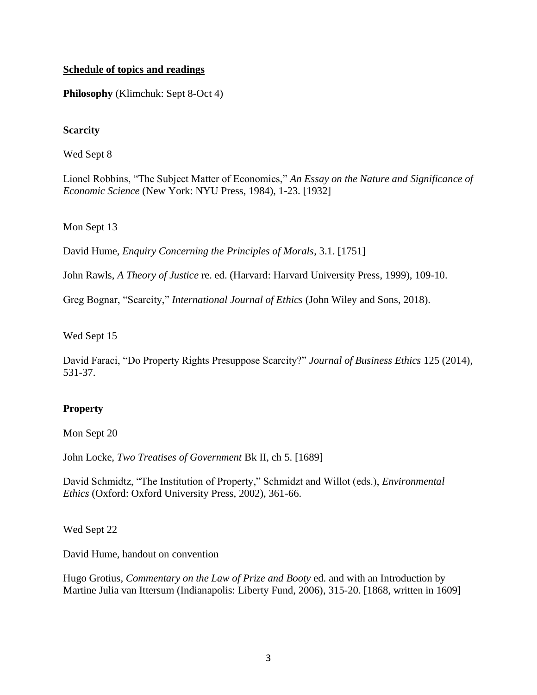## **Schedule of topics and readings**

**Philosophy** (Klimchuk: Sept 8-Oct 4)

## **Scarcity**

Wed Sept 8

Lionel Robbins, "The Subject Matter of Economics," *An Essay on the Nature and Significance of Economic Science* (New York: NYU Press, 1984), 1-23. [1932]

#### Mon Sept 13

David Hume, *Enquiry Concerning the Principles of Morals*, 3.1. [1751]

John Rawls, *A Theory of Justice* re. ed. (Harvard: Harvard University Press, 1999), 109-10.

Greg Bognar, "Scarcity," *International Journal of Ethics* (John Wiley and Sons, 2018).

Wed Sept 15

David Faraci, "Do Property Rights Presuppose Scarcity?" *Journal of Business Ethics* 125 (2014), 531-37.

## **Property**

Mon Sept 20

John Locke, *Two Treatises of Government* Bk II, ch 5. [1689]

David Schmidtz, "The Institution of Property," Schmidzt and Willot (eds.), *Environmental Ethics* (Oxford: Oxford University Press, 2002), 361-66.

Wed Sept 22

David Hume, handout on convention

Hugo Grotius*, Commentary on the Law of Prize and Booty* ed. and with an Introduction by Martine Julia van Ittersum (Indianapolis: Liberty Fund, 2006), 315-20. [1868, written in 1609]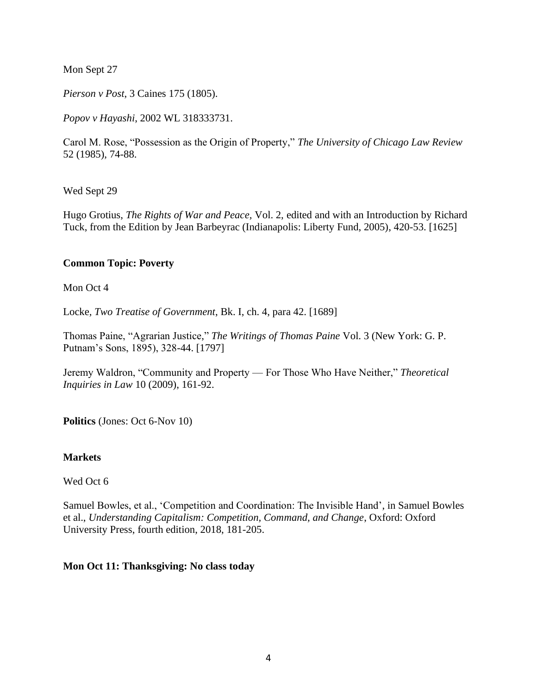Mon Sept 27

*Pierson v Post*, 3 Caines 175 (1805).

*Popov v Hayashi*, 2002 WL 318333731.

Carol M. Rose, "Possession as the Origin of Property," *The University of Chicago Law Review* 52 (1985), 74-88.

Wed Sept 29

Hugo Grotius, *The Rights of War and Peace,* Vol. 2, edited and with an Introduction by Richard Tuck, from the Edition by Jean Barbeyrac (Indianapolis: Liberty Fund, 2005), 420-53. [1625]

## **Common Topic: Poverty**

Mon Oct 4

Locke*, Two Treatise of Government*, Bk. I, ch. 4, para 42. [1689]

Thomas Paine, "Agrarian Justice," *The Writings of Thomas Paine* Vol. 3 (New York: G. P. Putnam's Sons, 1895), 328-44. [1797]

Jeremy Waldron, "Community and Property — For Those Who Have Neither," *Theoretical Inquiries in Law* 10 (2009), 161-92.

**Politics** (Jones: Oct 6-Nov 10)

#### **Markets**

Wed Oct 6

Samuel Bowles, et al., 'Competition and Coordination: The Invisible Hand', in Samuel Bowles et al., *Understanding Capitalism: Competition, Command, and Change*, Oxford: Oxford University Press, fourth edition, 2018, 181-205.

#### **Mon Oct 11: Thanksgiving: No class today**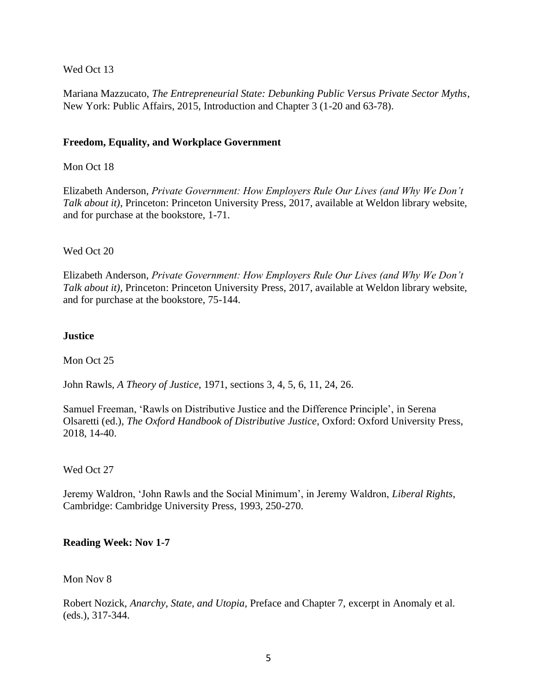## Wed Oct 13

Mariana Mazzucato, *The Entrepreneurial State: Debunking Public Versus Private Sector Myths*, New York: Public Affairs, 2015, Introduction and Chapter 3 (1-20 and 63-78).

### **Freedom, Equality, and Workplace Government**

### Mon Oct 18

Elizabeth Anderson, *Private Government: How Employers Rule Our Lives (and Why We Don't Talk about it)*, Princeton: Princeton University Press, 2017, available at Weldon library website, and for purchase at the bookstore, 1-71.

#### Wed Oct 20

Elizabeth Anderson, *Private Government: How Employers Rule Our Lives (and Why We Don't Talk about it)*, Princeton: Princeton University Press, 2017, available at Weldon library website, and for purchase at the bookstore, 75-144.

#### **Justice**

Mon Oct 25

John Rawls, *A Theory of Justice*, 1971, sections 3, 4, 5, 6, 11, 24, 26.

Samuel Freeman, 'Rawls on Distributive Justice and the Difference Principle', in Serena Olsaretti (ed.), *The Oxford Handbook of Distributive Justice*, Oxford: Oxford University Press, 2018, 14-40.

#### Wed Oct 27

Jeremy Waldron, 'John Rawls and the Social Minimum', in Jeremy Waldron, *Liberal Rights*, Cambridge: Cambridge University Press, 1993, 250-270.

#### **Reading Week: Nov 1-7**

#### Mon Nov 8

Robert Nozick, *Anarchy, State, and Utopia*, Preface and Chapter 7, excerpt in Anomaly et al. (eds.), 317-344.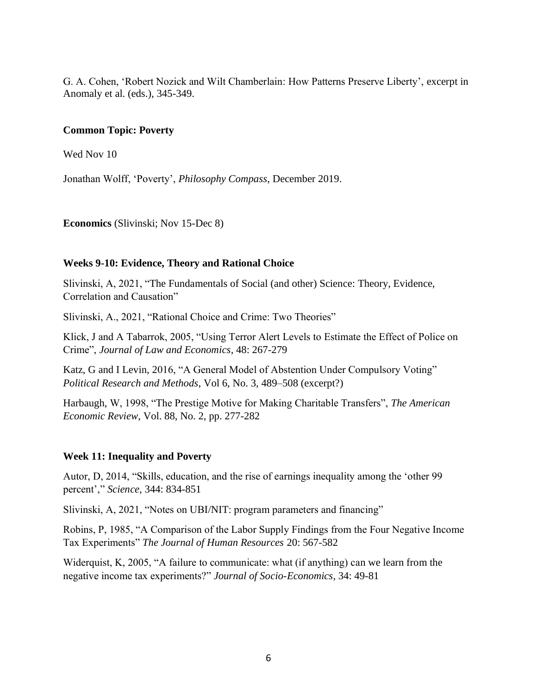G. A. Cohen, 'Robert Nozick and Wilt Chamberlain: How Patterns Preserve Liberty', excerpt in Anomaly et al. (eds.), 345-349.

#### **Common Topic: Poverty**

Wed Nov 10

Jonathan Wolff, 'Poverty', *Philosophy Compass*, December 2019.

**Economics** (Slivinski; Nov 15-Dec 8)

## **Weeks 9-10: Evidence, Theory and Rational Choice**

Slivinski, A, 2021, "The Fundamentals of Social (and other) Science: Theory, Evidence, Correlation and Causation"

Slivinski, A., 2021, "Rational Choice and Crime: Two Theories"

Klick, J and A Tabarrok, 2005, "Using Terror Alert Levels to Estimate the Effect of Police on Crime", *Journal of Law and Economics*, 48: 267-279

Katz, G and I Levin, 2016, "A General Model of Abstention Under Compulsory Voting" *Political Research and Methods*, Vol 6, No. 3, 489–508 (excerpt?)

Harbaugh, W, 1998, "The Prestige Motive for Making Charitable Transfers", *The American Economic Review*, Vol. 88, No. 2, pp. 277-282

#### **Week 11: Inequality and Poverty**

Autor, D, 2014, "Skills, education, and the rise of earnings inequality among the 'other 99 percent'," *Science,* 344: 834-851

Slivinski, A, 2021, "Notes on UBI/NIT: program parameters and financing"

Robins, P, 1985, "A Comparison of the Labor Supply Findings from the Four Negative Income Tax Experiments" *The Journal of Human Resources* 20: 567-582

Widerquist, K, 2005, "A failure to communicate: what (if anything) can we learn from the negative income tax experiments?" *Journal of Socio-Economics*, 34: 49-81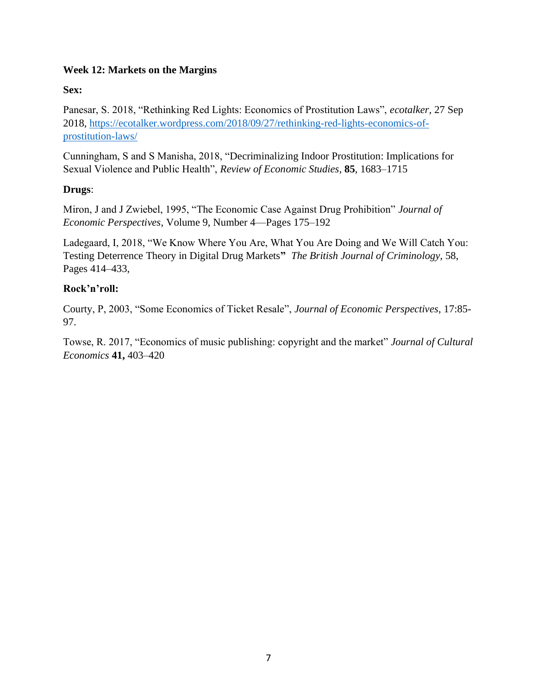## **Week 12: Markets on the Margins**

## **Sex:**

Panesar, S. 2018, "Rethinking Red Lights: Economics of Prostitution Laws", *ecotalker,* 27 Sep 2018, [https://ecotalker.wordpress.com/2018/09/27/rethinking-red-lights-economics-of](https://ecotalker.wordpress.com/2018/09/27/rethinking-red-lights-economics-of-prostitution-laws/)[prostitution-laws/](https://ecotalker.wordpress.com/2018/09/27/rethinking-red-lights-economics-of-prostitution-laws/)

Cunningham, S and S Manisha, 2018, "Decriminalizing Indoor Prostitution: Implications for Sexual Violence and Public Health", *Review of Economic Studies*, **85**, 1683–1715

## **Drugs**:

Miron, J and J Zwiebel, 1995, "The Economic Case Against Drug Prohibition" *Journal of Economic Perspectives*, Volume 9, Number 4—Pages 175–192

Ladegaard, I, 2018, "We Know Where You Are, What You Are Doing and We Will Catch You: Testing Deterrence Theory in Digital Drug Markets**"** *The British Journal of Criminology*, 58, Pages 414–433,

## **Rock'n'roll:**

Courty, P, 2003, "Some Economics of Ticket Resale", *Journal of Economic Perspectives,* 17:85- 97.

Towse, R. 2017, "Economics of music publishing: copyright and the market" *Journal of Cultural Economics* **41,** 403–420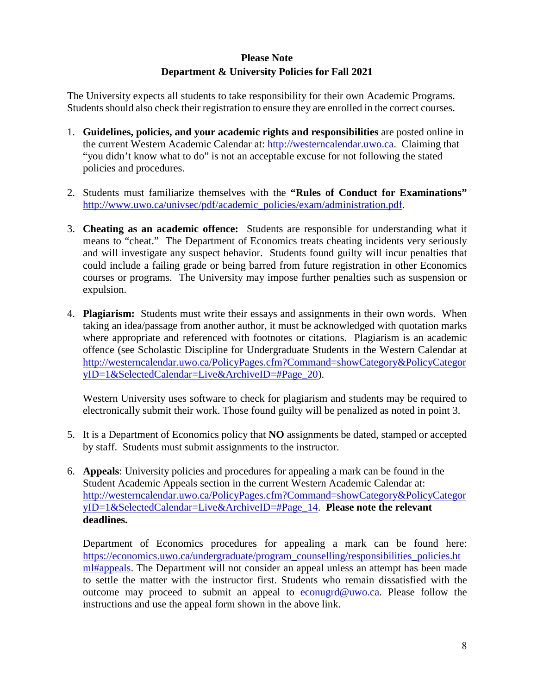# **Please Note Department & University Policies for Fall 2021**

The University expects all students to take responsibility for their own Academic Programs. Students should also check their registration to ensure they are enrolled in the correct courses.

- 1. **Guidelines, policies, and your academic rights and responsibilities** are posted online in the current Western Academic Calendar at: [http://westerncalendar.uwo.ca.](http://westerncalendar.uwo.ca/) Claiming that "you didn't know what to do" is not an acceptable excuse for not following the stated policies and procedures.
- 2. Students must familiarize themselves with the **"Rules of Conduct for Examinations"** [http://www.uwo.ca/univsec/pdf/academic\\_policies/exam/administration.pdf.](http://www.uwo.ca/univsec/pdf/academic_policies/exam/administration.pdf)
- 3. **Cheating as an academic offence:** Students are responsible for understanding what it means to "cheat." The Department of Economics treats cheating incidents very seriously and will investigate any suspect behavior. Students found guilty will incur penalties that could include a failing grade or being barred from future registration in other Economics courses or programs. The University may impose further penalties such as suspension or expulsion.
- 4. **Plagiarism:** Students must write their essays and assignments in their own words. When taking an idea/passage from another author, it must be acknowledged with quotation marks where appropriate and referenced with footnotes or citations. Plagiarism is an academic offence (see Scholastic Discipline for Undergraduate Students in the Western Calendar at [http://westerncalendar.uwo.ca/PolicyPages.cfm?Command=showCategory&PolicyCategor](http://westerncalendar.uwo.ca/PolicyPages.cfm?Command=showCategory&PolicyCategoryID=1&SelectedCalendar=Live&ArchiveID=#Page_20) [yID=1&SelectedCalendar=Live&ArchiveID=#Page\\_20\)](http://westerncalendar.uwo.ca/PolicyPages.cfm?Command=showCategory&PolicyCategoryID=1&SelectedCalendar=Live&ArchiveID=#Page_20).

Western University uses software to check for plagiarism and students may be required to electronically submit their work. Those found guilty will be penalized as noted in point 3.

- 5. It is a Department of Economics policy that **NO** assignments be dated, stamped or accepted by staff. Students must submit assignments to the instructor.
- 6. **Appeals**: University policies and procedures for appealing a mark can be found in the Student Academic Appeals section in the current Western Academic Calendar at: [http://westerncalendar.uwo.ca/PolicyPages.cfm?Command=showCategory&PolicyCategor](http://westerncalendar.uwo.ca/PolicyPages.cfm?Command=showCategory&PolicyCategoryID=1&SelectedCalendar=Live&ArchiveID=#Page_14) [yID=1&SelectedCalendar=Live&ArchiveID=#Page\\_14.](http://westerncalendar.uwo.ca/PolicyPages.cfm?Command=showCategory&PolicyCategoryID=1&SelectedCalendar=Live&ArchiveID=#Page_14) **Please note the relevant deadlines.**

Department of Economics procedures for appealing a mark can be found here: [https://economics.uwo.ca/undergraduate/program\\_counselling/responsibilities\\_policies.ht](https://economics.uwo.ca/undergraduate/program_counselling/responsibilities_policies.html#appeals) [ml#appeals.](https://economics.uwo.ca/undergraduate/program_counselling/responsibilities_policies.html#appeals) The Department will not consider an appeal unless an attempt has been made to settle the matter with the instructor first. Students who remain dissatisfied with the outcome may proceed to submit an appeal to [econugrd@uwo.ca.](mailto:econugrd@uwo.ca) Please follow the instructions and use the appeal form shown in the above link.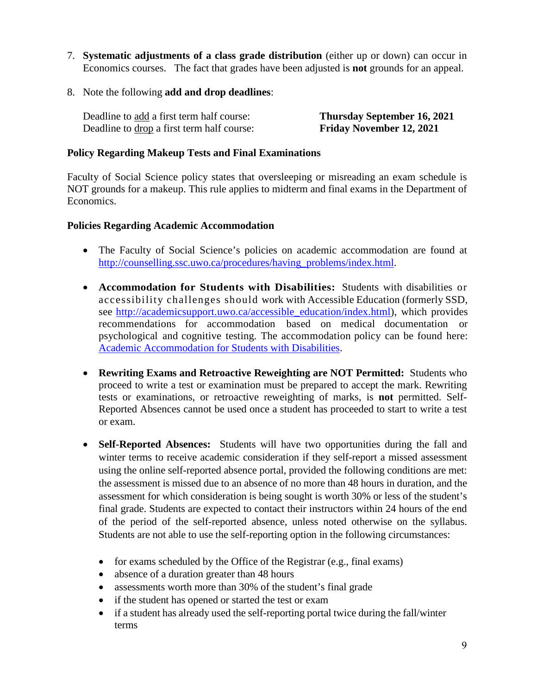- 7. **Systematic adjustments of a class grade distribution** (either up or down) can occur in Economics courses. The fact that grades have been adjusted is **not** grounds for an appeal.
- 8. Note the following **add and drop deadlines**:

Deadline to add a first term half course: **Thursday September 16, 2021**  Deadline to drop a first term half course: **Friday November 12, 2021** 

### **Policy Regarding Makeup Tests and Final Examinations**

Faculty of Social Science policy states that oversleeping or misreading an exam schedule is NOT grounds for a makeup. This rule applies to midterm and final exams in the Department of Economics.

#### **Policies Regarding Academic Accommodation**

- The Faculty of Social Science's policies on academic accommodation are found at [http://counselling.ssc.uwo.ca/procedures/having\\_problems/index.html.](http://counselling.ssc.uwo.ca/procedures/having_problems/index.html)
- **Accommodation for Students with Disabilities:** Students with disabilities or accessibility challenges should work with Accessible Education (formerly SSD, see [http://academicsupport.uwo.ca/accessible\\_education/index.html\)](http://academicsupport.uwo.ca/accessible_education/index.html), which provides recommendations for accommodation based on medical documentation or psychological and cognitive testing. The accommodation policy can be found here: [Academic Accommodation for Students with Disabilities.](https://www.uwo.ca/univsec/pdf/academic_policies/appeals/Academic%20Accommodation_disabilities.pdf)
- **Rewriting Exams and Retroactive Reweighting are NOT Permitted:** Students who proceed to write a test or examination must be prepared to accept the mark. Rewriting tests or examinations, or retroactive reweighting of marks, is **not** permitted. Self-Reported Absences cannot be used once a student has proceeded to start to write a test or exam.
- **Self-Reported Absences:** Students will have two opportunities during the fall and winter terms to receive academic consideration if they self-report a missed assessment using the online self-reported absence portal, provided the following conditions are met: the assessment is missed due to an absence of no more than 48 hours in duration, and the assessment for which consideration is being sought is worth 30% or less of the student's final grade. Students are expected to contact their instructors within 24 hours of the end of the period of the self-reported absence, unless noted otherwise on the syllabus. Students are not able to use the self-reporting option in the following circumstances:
	- for exams scheduled by the Office of the Registrar (e.g., final exams)
	- absence of a duration greater than 48 hours
	- assessments worth more than 30% of the student's final grade
	- if the student has opened or started the test or exam
	- if a student has already used the self-reporting portal twice during the fall/winter terms